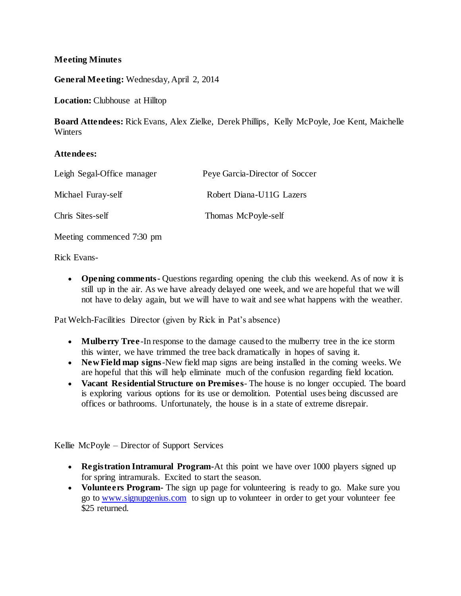## **Meeting Minutes**

**General Meeting:** Wednesday, April 2, 2014

**Location:** Clubhouse at Hilltop

**Board Attendees:** Rick Evans, Alex Zielke, Derek Phillips, Kelly McPoyle, Joe Kent, Maichelle **Winters** 

## **Attendees:**

| Leigh Segal-Office manager | Peye Garcia-Director of Soccer |
|----------------------------|--------------------------------|
| Michael Furay-self         | Robert Diana-U11G Lazers       |
| Chris Sites-self           | Thomas McPoyle-self            |

Meeting commenced 7:30 pm

Rick Evans-

 **Opening comments-** Questions regarding opening the club this weekend. As of now it is still up in the air. As we have already delayed one week, and we are hopeful that we will not have to delay again, but we will have to wait and see what happens with the weather.

Pat Welch-Facilities Director (given by Rick in Pat's absence)

- **Mulberry Tree**-In response to the damage caused to the mulberry tree in the ice storm this winter, we have trimmed the tree back dramatically in hopes of saving it.
- **New Field map signs**-New field map signs are being installed in the coming weeks. We are hopeful that this will help eliminate much of the confusion regarding field location.
- **Vacant Residential Structure on Premises** The house is no longer occupied. The board is exploring various options for its use or demolition. Potential uses being discussed are offices or bathrooms. Unfortunately, the house is in a state of extreme disrepair.

Kellie McPoyle – Director of Support Services

- **Registration Intramural Program-**At this point we have over 1000 players signed up for spring intramurals. Excited to start the season.
- **Volunteers Program-** The sign up page for volunteering is ready to go. Make sure you go to [www.signupgenius.com](http://www.signupgenius.com/) to sign up to volunteer in order to get your volunteer fee \$25 returned.